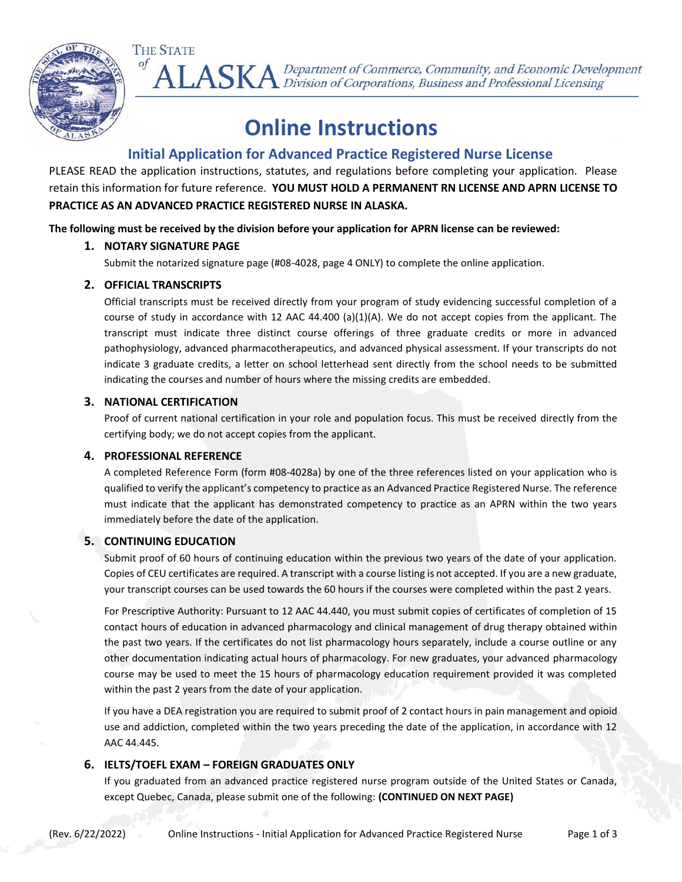

 $\circ f$ ALASKA Department of Commerce, Community, and Economic Development

# **Online Instructions**

### **Initial Application for Advanced Practice Registered Nurse License**

PLEASE READ the application instructions, statutes, and regulations before completing your application. Please retain this information for future reference. **YOU MUST HOLD A PERMANENT RN LICENSE AND APRN LICENSE TO PRACTICE AS AN ADVANCED PRACTICE REGISTERED NURSE IN ALASKA.**

#### **The following must be received by the division before your application for APRN license can be reviewed:**

#### **1. NOTARY SIGNATURE PAGE**

Submit the notarized signature page (#08-4028, page 4 ONLY) to complete the online application.

#### **2. OFFICIAL TRANSCRIPTS**

Official transcripts must be received directly from your program of study evidencing successful completion of a course of study in accordance with 12 AAC 44.400 (a)(1)(A). We do not accept copies from the applicant. The transcript must indicate three distinct course offerings of three graduate credits or more in advanced pathophysiology, advanced pharmacotherapeutics, and advanced physical assessment. If your transcripts do not indicate 3 graduate credits, a letter on school letterhead sent directly from the school needs to be submitted indicating the courses and number of hours where the missing credits are embedded.

#### **3. NATIONAL CERTIFICATION**

Proof of current national certification in your role and population focus. This must be received directly from the certifying body; we do not accept copies from the applicant.

#### **4. PROFESSIONAL REFERENCE**

A completed Reference Form (form #08-4028a) by one of the three references listed on your application who is qualified to verify the applicant's competency to practice as an Advanced Practice Registered Nurse. The reference must indicate that the applicant has demonstrated competency to practice as an APRN within the two years immediately before the date of the application.

#### **5. CONTINUING EDUCATION**

Submit proof of 60 hours of continuing education within the previous two years of the date of your application. Copies of CEU certificates are required. A transcript with a course listing is not accepted. If you are a new graduate, your transcript courses can be used towards the 60 hours if the courses were completed within the past 2 years.

For Prescriptive Authority: Pursuant to 12 AAC 44.440, you must submit copies of certificates of completion of 15 contact hours of education in advanced pharmacology and clinical management of drug therapy obtained within the past two years. If the certificates do not list pharmacology hours separately, include a course outline or any other documentation indicating actual hours of pharmacology. For new graduates, your advanced pharmacology course may be used to meet the 15 hours of pharmacology education requirement provided it was completed within the past 2 years from the date of your application.

If you have a DEA registration you are required to submit proof of 2 contact hours in pain management and opioid use and addiction, completed within the two years preceding the date of the application, in accordance with 12 AAC 44.445.

#### **6. IELTS/TOEFL EXAM – FOREIGN GRADUATES ONLY**

If you graduated from an advanced practice registered nurse program outside of the United States or Canada, except Quebec, Canada, please submit one of the following: **(CONTINUED ON NEXT PAGE)**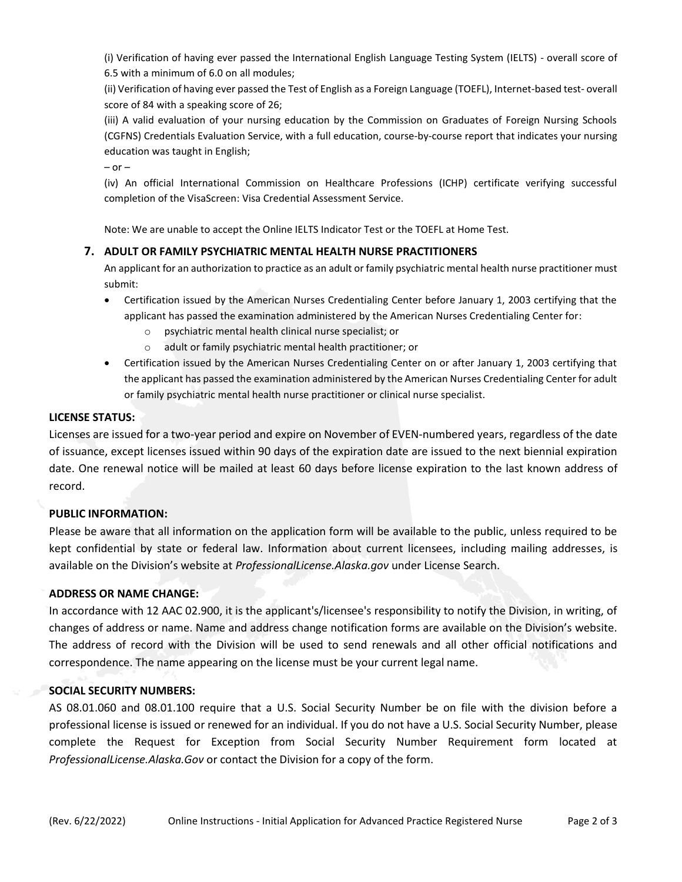(i) Verification of having ever passed the International English Language Testing System (IELTS) - overall score of 6.5 with a minimum of 6.0 on all modules;

(ii) Verification of having ever passed the Test of English as a Foreign Language (TOEFL), Internet-based test- overall score of 84 with a speaking score of 26;

(iii) A valid evaluation of your nursing education by the Commission on Graduates of Foreign Nursing Schools (CGFNS) Credentials Evaluation Service, with a full education, course-by-course report that indicates your nursing education was taught in English;

 $-$  or  $-$ 

(iv) An official International Commission on Healthcare Professions (ICHP) certificate verifying successful completion of the VisaScreen: Visa Credential Assessment Service.

Note: We are unable to accept the Online IELTS Indicator Test or the TOEFL at Home Test.

#### **7. ADULT OR FAMILY PSYCHIATRIC MENTAL HEALTH NURSE PRACTITIONERS**

An applicant for an authorization to practice as an adult or family psychiatric mental health nurse practitioner must submit:

- Certification issued by the American Nurses Credentialing Center before January 1, 2003 certifying that the applicant has passed the examination administered by the American Nurses Credentialing Center for:
	- o psychiatric mental health clinical nurse specialist; or
	- o adult or family psychiatric mental health practitioner; or
- Certification issued by the American Nurses Credentialing Center on or after January 1, 2003 certifying that the applicant has passed the examination administered by the American Nurses Credentialing Center for adult or family psychiatric mental health nurse practitioner or clinical nurse specialist.

#### **LICENSE STATUS:**

Licenses are issued for a two-year period and expire on November of EVEN-numbered years, regardless of the date of issuance, except licenses issued within 90 days of the expiration date are issued to the next biennial expiration date. One renewal notice will be mailed at least 60 days before license expiration to the last known address of record.

#### **PUBLIC INFORMATION:**

Please be aware that all information on the application form will be available to the public, unless required to be kept confidential by state or federal law. Information about current licensees, including mailing addresses, is available on the Division's website at *ProfessionalLicense.Alaska.gov* under License Search.

#### **ADDRESS OR NAME CHANGE:**

In accordance with 12 AAC 02.900, it is the applicant's/licensee's responsibility to notify the Division, in writing, of changes of address or name. Name and address change notification forms are available on the Division's website. The address of record with the Division will be used to send renewals and all other official notifications and correspondence. The name appearing on the license must be your current legal name.

#### **SOCIAL SECURITY NUMBERS:**

AS 08.01.060 and 08.01.100 require that a U.S. Social Security Number be on file with the division before a professional license is issued or renewed for an individual. If you do not have a U.S. Social Security Number, please complete the Request for Exception from Social Security Number Requirement form located at *ProfessionalLicense.Alaska.Gov* or contact the Division for a copy of the form.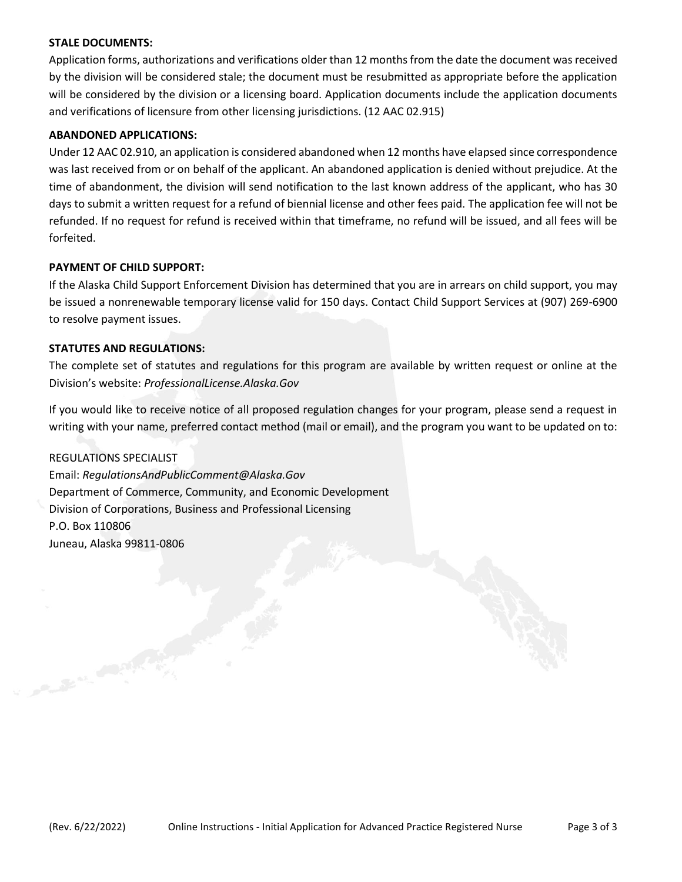#### **STALE DOCUMENTS:**

Application forms, authorizations and verifications older than 12 months from the date the document was received by the division will be considered stale; the document must be resubmitted as appropriate before the application will be considered by the division or a licensing board. Application documents include the application documents and verifications of licensure from other licensing jurisdictions. (12 AAC 02.915)

#### **ABANDONED APPLICATIONS:**

Under 12 AAC 02.910, an application is considered abandoned when 12 months have elapsed since correspondence was last received from or on behalf of the applicant. An abandoned application is denied without prejudice. At the time of abandonment, the division will send notification to the last known address of the applicant, who has 30 days to submit a written request for a refund of biennial license and other fees paid. The application fee will not be refunded. If no request for refund is received within that timeframe, no refund will be issued, and all fees will be forfeited.

#### **PAYMENT OF CHILD SUPPORT:**

If the Alaska Child Support Enforcement Division has determined that you are in arrears on child support, you may be issued a nonrenewable temporary license valid for 150 days. Contact Child Support Services at (907) 269-6900 to resolve payment issues.

#### **STATUTES AND REGULATIONS:**

The complete set of statutes and regulations for this program are available by written request or online at the Division's website: *ProfessionalLicense.Alaska.Gov* 

If you would like to receive notice of all proposed regulation changes for your program, please send a request in writing with your name, preferred contact method (mail or email), and the program you want to be updated on to:

#### REGULATIONS SPECIALIST

Email: *RegulationsAndPublicComment@Alaska.Gov* Department of Commerce, Community, and Economic Development Division of Corporations, Business and Professional Licensing P.O. Box 110806 Juneau, Alaska 99811-0806